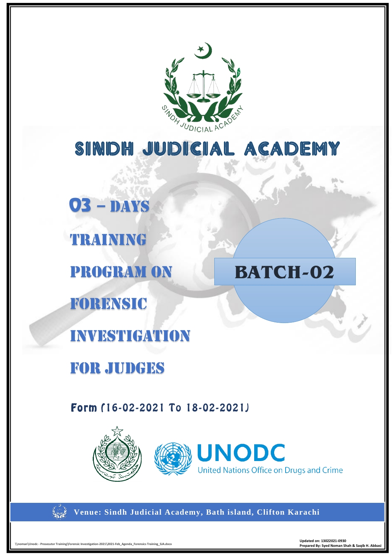

# SINDH JUDICIAL ACADEMY

**03** – DAYS TRAINING PROGRAM On Forensic investigation FOR Judges **BATCH-02**

Form (16-02-2021 To 18-02-2021)







**Venue: Sindh Judicial Academy, Bath island, Clifton Karachi**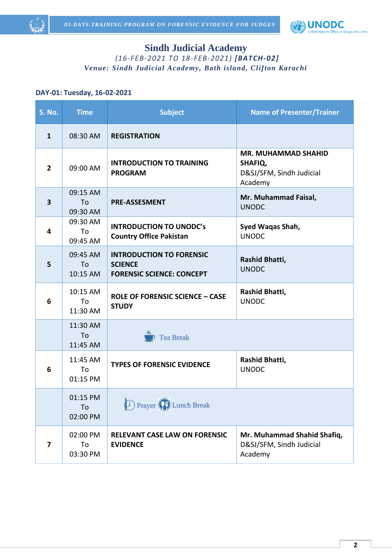



# **Sindh Judicial Academy**

*(16-FEB-2021 TO 18-FEB-2021) [BATCH-02] Venue: Sindh Judicial Academy, Bath island, Clifton Karachi*

#### **DAY-01: Tuesday, 16-02-2021**

| S. No.                  | <b>Time</b>                | <b>Subject</b>                                                                        | <b>Name of Presenter/Trainer</b>                                             |
|-------------------------|----------------------------|---------------------------------------------------------------------------------------|------------------------------------------------------------------------------|
| $\mathbf{1}$            | 08:30 AM                   | <b>REGISTRATION</b>                                                                   |                                                                              |
| $\overline{2}$          | 09:00 AM                   | <b>INTRODUCTION TO TRAINING</b><br><b>PROGRAM</b>                                     | <b>MR. MUHAMMAD SHAHID</b><br>SHAFIQ,<br>D&SJ/SFM, Sindh Judicial<br>Academy |
| $\overline{\mathbf{3}}$ | 09:15 AM<br>To<br>09:30 AM | <b>PRE-ASSESMENT</b>                                                                  | Mr. Muhammad Faisal,<br><b>UNODC</b>                                         |
| 4                       | 09:30 AM<br>To<br>09:45 AM | <b>INTRODUCTION TO UNODC's</b><br><b>Country Office Pakistan</b>                      | Syed Waqas Shah,<br><b>UNODC</b>                                             |
| 5                       | 09:45 AM<br>To<br>10:15 AM | <b>INTRODUCTION TO FORENSIC</b><br><b>SCIENCE</b><br><b>FORENSIC SCIENCE: CONCEPT</b> | Rashid Bhatti,<br><b>UNODC</b>                                               |
| 6                       | 10:15 AM<br>To<br>11:30 AM | <b>ROLE OF FORENSIC SCIENCE - CASE</b><br><b>STUDY</b>                                | Rashid Bhatti,<br><b>UNODC</b>                                               |
|                         | 11:30 AM<br>To<br>11:45 AM | <b>Tea Break</b>                                                                      |                                                                              |
| 6                       | 11:45 AM<br>To<br>01:15 PM | <b>TYPES OF FORENSIC EVIDENCE</b>                                                     | Rashid Bhatti,<br><b>UNODC</b>                                               |
|                         | 01:15 PM<br>To<br>02:00 PM | <b>D</b> Prayer (C) Lunch Break                                                       |                                                                              |
| 7                       | 02:00 PM<br>To<br>03:30 PM | <b>RELEVANT CASE LAW ON FORENSIC</b><br><b>EVIDENCE</b>                               | Mr. Muhammad Shahid Shafiq,<br>D&SJ/SFM, Sindh Judicial<br>Academy           |